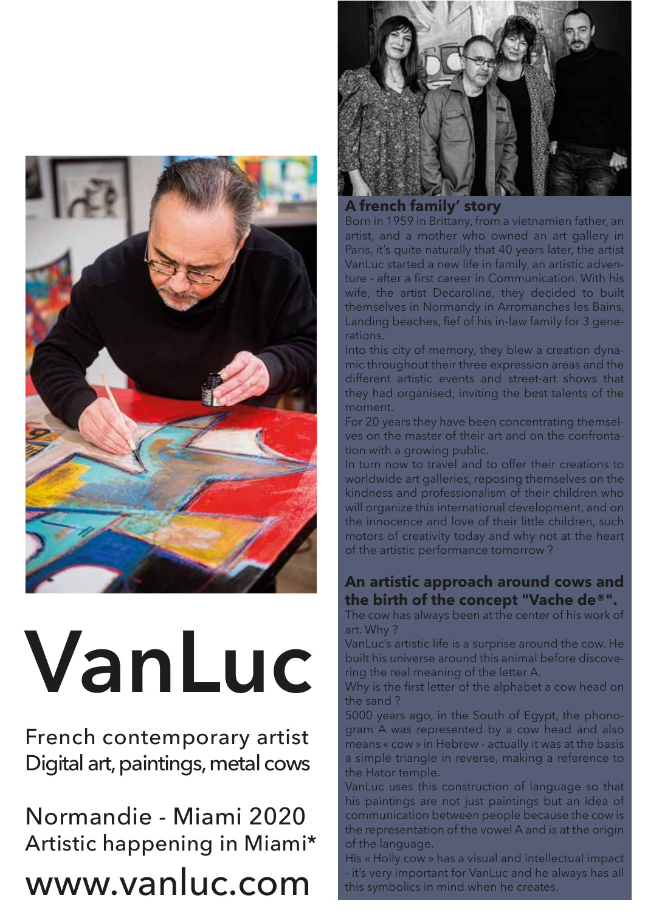

# **VanLuc**

French contemporary artist Digital art, paintings, metal cows

Normandie - Miami 2020 Artistic happening in Miami\*

#### www.vanluc.com



**A french family' story**

Born in 1959 in Brittany, from a vietnamien father, an artist, and a mother who owned an art gallery in Paris, it's quite naturally that 40 years later, the artist VanLuc started a new life in family, an artistic adventure - after a first career in Communication. With his wife, the artist Decaroline, they decided to built themselves in Normandy in Arromanches les Bains, Landing beaches, fief of his in-law family for 3 generations.

Into this city of memory, they blew a creation dynamic throughout their three expression areas and the different artistic events and street-art shows that they had organised, inviting the best talents of the moment.

For 20 years they have been concentrating themselves on the master of their art and on the confrontation with a growing public.

In turn now to travel and to offer their creations to worldwide art galleries, reposing themselves on the kindness and professionalism of their children who will organize this international development, and on the innocence and love of their little children, such motors of creativity today and why not at the heart of the artistic performance tomorrow ?

#### **An artistic approach around cows and the birth of the concept "Vache de®".**

The cow has always been at the center of his work of art. Why ?

VanLuc's artistic life is a surprise around the cow. He built his universe around this animal before discovering the real meaning of the letter A.

Why is the first letter of the alphabet a cow head on the sand ?

5000 years ago, in the South of Egypt, the phonogram A was represented by a cow head and also means « cow » in Hebrew - actually it was at the basis a simple triangle in reverse, making a reference to the Hator temple.

VanLuc uses this construction of language so that his paintings are not just paintings but an idea of communication between people because the cow is the representation of the vowel A and is at the origin of the language.

His « Holly cow » has a visual and intellectual impact - it's very important for VanLuc and he always has all this symbolics in mind when he creates.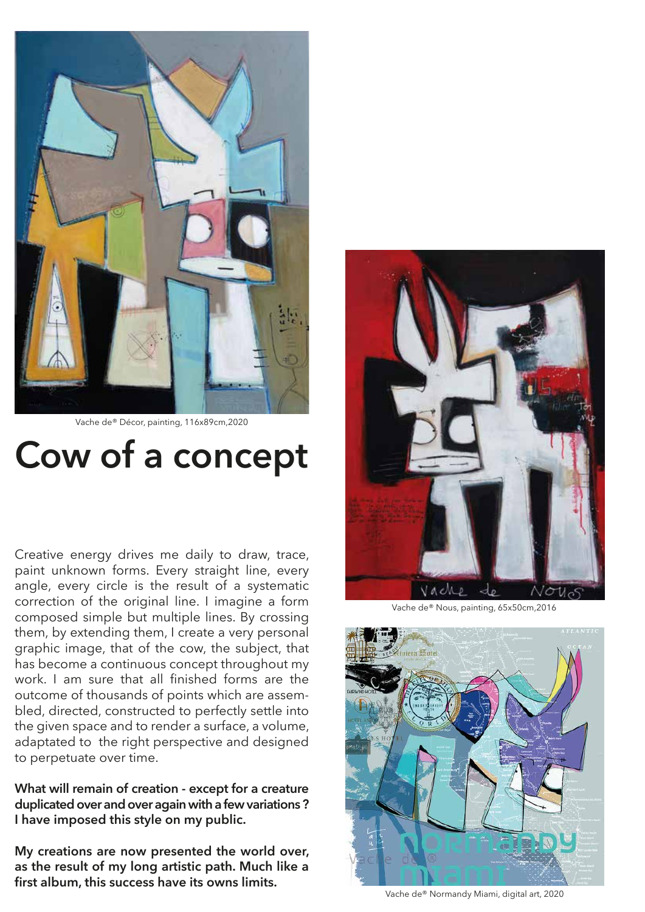

Vache de® Décor, painting, 116x89cm,2020

### **Cow of a concept**

Creative energy drives me daily to draw, trace, paint unknown forms. Every straight line, every angle, every circle is the result of a systematic correction of the original line. I imagine a form composed simple but multiple lines. By crossing them, by extending them, I create a very personal graphic image, that of the cow, the subject, that has become a continuous concept throughout my work. I am sure that all finished forms are the outcome of thousands of points which are assembled, directed, constructed to perfectly settle into the given space and to render a surface, a volume, adaptated to the right perspective and designed to perpetuate over time.

**What will remain of creation - except for a creature duplicated over and over again with a few variations ? I have imposed this style on my public.** 

**My creations are now presented the world over, as the result of my long artistic path. Much like a first album, this success have its owns limits.** 



Vache de® Nous, painting, 65x50cm,2016



Vache de® Normandy Miami, digital art, 2020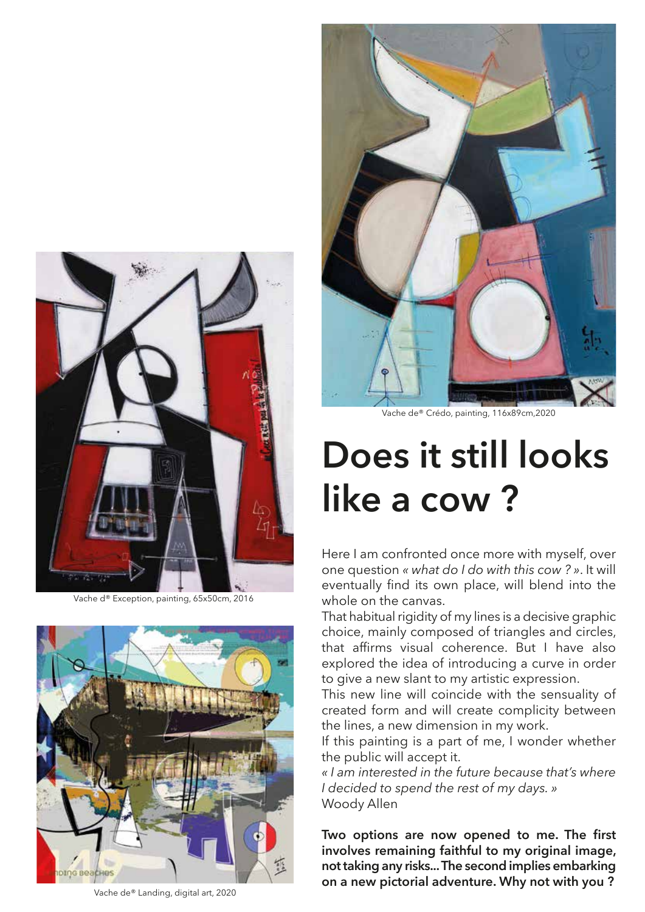

Vache d® Exception, painting, 65x50cm, 2016



Vache de® Landing, digital art, 2020



Vache de® Crédo, painting, 116x89cm,2020

## **Does it still looks like a cow ?**

Here I am confronted once more with myself, over one question *« what do I do with this cow ? »*. It will eventually find its own place, will blend into the whole on the canvas.

That habitual rigidity of my lines is a decisive graphic choice, mainly composed of triangles and circles, that affirms visual coherence. But I have also explored the idea of introducing a curve in order to give a new slant to my artistic expression.

This new line will coincide with the sensuality of created form and will create complicity between the lines, a new dimension in my work.

If this painting is a part of me, I wonder whether the public will accept it.

*« I am interested in the future because that's where I decided to spend the rest of my days. »*  Woody Allen

**Two options are now opened to me. The first involves remaining faithful to my original image, not taking any risks... The second implies embarking on a new pictorial adventure. Why not with you ?**